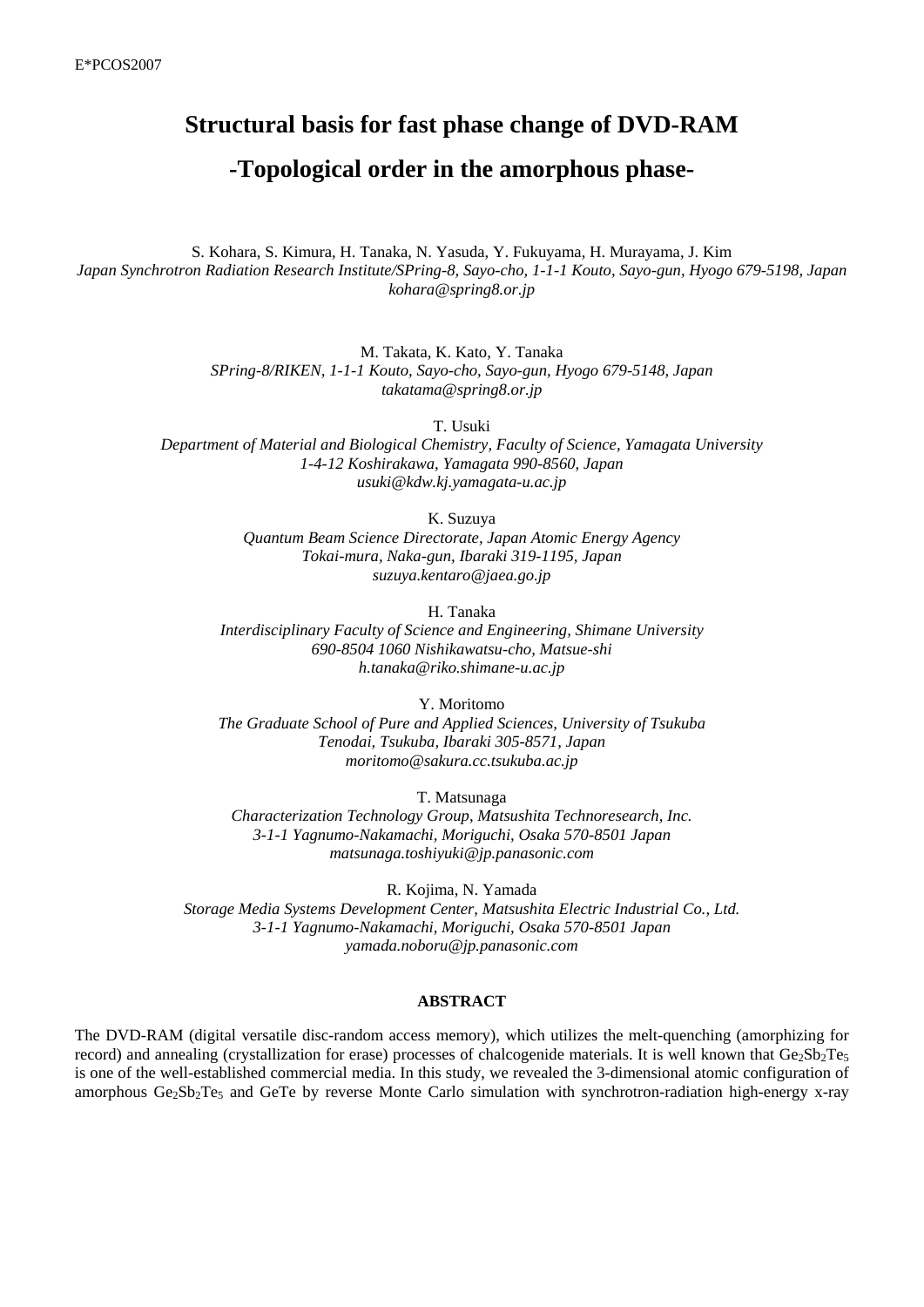# **Structural basis for fast phase change of DVD-RAM -Topological order in the amorphous phase-**

S. Kohara, S. Kimura, H. Tanaka, N. Yasuda, Y. Fukuyama, H. Murayama, J. Kim *Japan Synchrotron Radiation Research Institute/SPring-8, Sayo-cho, 1-1-1 Kouto, Sayo-gun, Hyogo 679-5198, Japan kohara@spring8.or.jp* 

> M. Takata, K. Kato, Y. Tanaka *SPring-8/RIKEN, 1-1-1 Kouto, Sayo-cho, Sayo-gun, Hyogo 679-5148, Japan takatama@spring8.or.jp*

> > T. Usuki

*Department of Material and Biological Chemistry, Faculty of Science, Yamagata University 1-4-12 Koshirakawa, Yamagata 990-8560, Japan usuki@kdw.kj.yamagata-u.ac.jp* 

K. Suzuya

*Quantum Beam Science Directorate, Japan Atomic Energy Agency Tokai-mura, Naka-gun, Ibaraki 319-1195, Japan suzuya.kentaro@jaea.go.jp* 

H. Tanaka

*Interdisciplinary Faculty of Science and Engineering, Shimane University 690-8504 1060 Nishikawatsu-cho, Matsue-shi h.tanaka@riko.shimane-u.ac.jp* 

Y. Moritomo *The Graduate School of Pure and Applied Sciences, University of Tsukuba Tenodai, Tsukuba, Ibaraki 305-8571, Japan moritomo@sakura.cc.tsukuba.ac.jp* 

T. Matsunaga

*Characterization Technology Group, Matsushita Technoresearch, Inc. 3-1-1 Yagnumo-Nakamachi, Moriguchi, Osaka 570-8501 Japan matsunaga.toshiyuki@jp.panasonic.com* 

R. Kojima, N. Yamada *Storage Media Systems Development Center, Matsushita Electric Industrial Co., Ltd. 3-1-1 Yagnumo-Nakamachi, Moriguchi, Osaka 570-8501 Japan yamada.noboru@jp.panasonic.com* 

#### **ABSTRACT**

The DVD-RAM (digital versatile disc-random access memory), which utilizes the melt-quenching (amorphizing for record) and annealing (crystallization for erase) processes of chalcogenide materials. It is well known that  $Ge_2Sb_2Te_5$ is one of the well-established commercial media. In this study, we revealed the 3-dimensional atomic configuration of amorphous  $Ge_2Sb_2Te_5$  and GeTe by reverse Monte Carlo simulation with synchrotron-radiation high-energy x-ray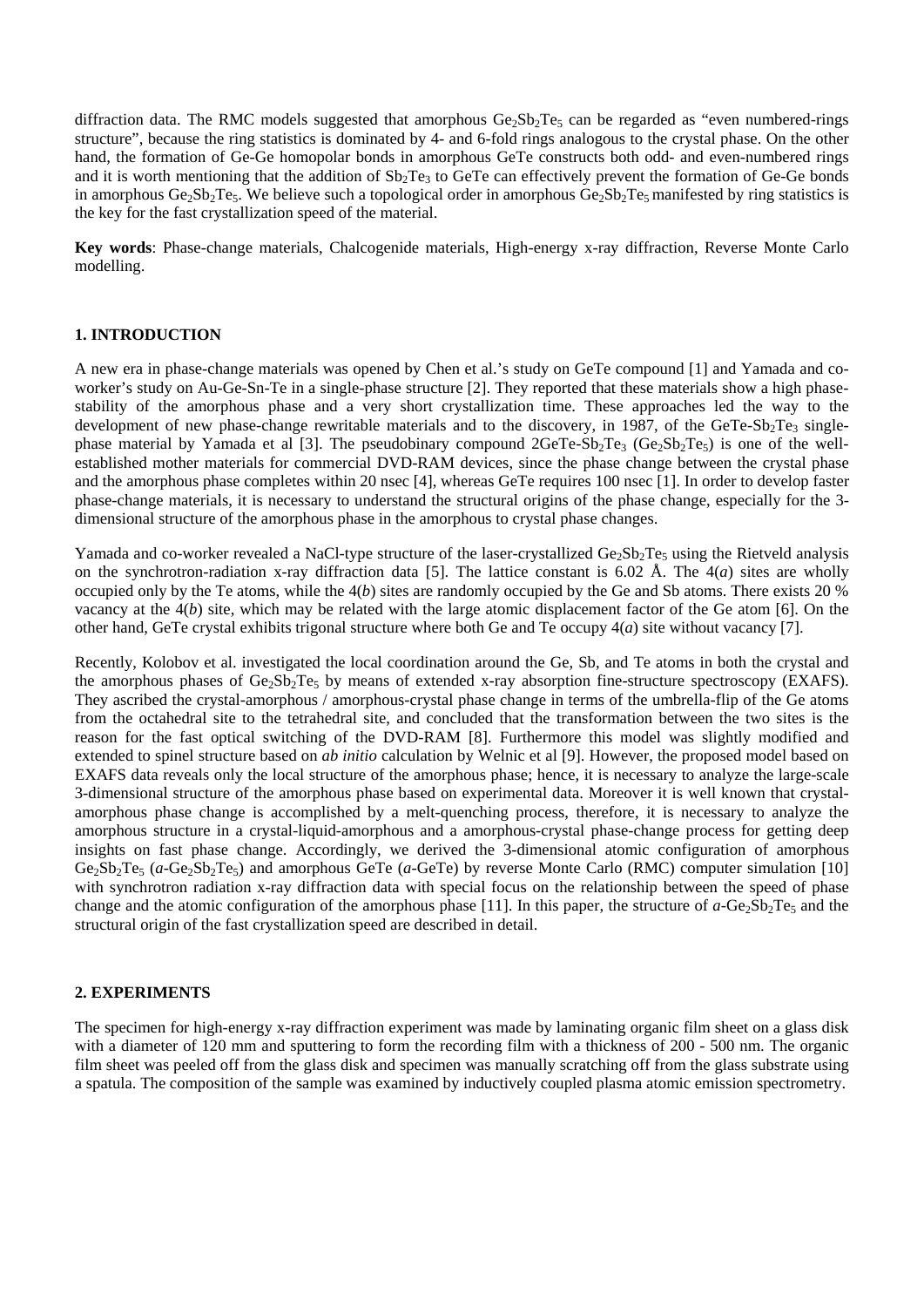diffraction data. The RMC models suggested that amorphous  $Ge_2Sb_2Te_5$  can be regarded as "even numbered-rings" structure", because the ring statistics is dominated by 4- and 6-fold rings analogous to the crystal phase. On the other hand, the formation of Ge-Ge homopolar bonds in amorphous GeTe constructs both odd- and even-numbered rings and it is worth mentioning that the addition of  $Sb_2Te_3$  to GeTe can effectively prevent the formation of Ge-Ge bonds in amorphous  $Ge_2Sb_2Te_5$ . We believe such a topological order in amorphous  $Ge_2Sb_2Te_5$  manifested by ring statistics is the key for the fast crystallization speed of the material.

**Key words**: Phase-change materials, Chalcogenide materials, High-energy x-ray diffraction, Reverse Monte Carlo modelling.

## **1. INTRODUCTION**

A new era in phase-change materials was opened by Chen et al.'s study on GeTe compound [1] and Yamada and coworker's study on Au-Ge-Sn-Te in a single-phase structure [2]. They reported that these materials show a high phasestability of the amorphous phase and a very short crystallization time. These approaches led the way to the development of new phase-change rewritable materials and to the discovery, in 1987, of the GeTe-Sb<sub>2</sub>Te<sub>3</sub> singlephase material by Yamada et al [3]. The pseudobinary compound  $2 \text{GeTe-Sb}_2 \text{Te}_3$  ( $\text{Ge}_2 \text{Sb}_2 \text{Te}_5$ ) is one of the wellestablished mother materials for commercial DVD-RAM devices, since the phase change between the crystal phase and the amorphous phase completes within 20 nsec [4], whereas GeTe requires 100 nsec [1]. In order to develop faster phase-change materials, it is necessary to understand the structural origins of the phase change, especially for the 3 dimensional structure of the amorphous phase in the amorphous to crystal phase changes.

Yamada and co-worker revealed a NaCl-type structure of the laser-crystallized  $Ge_2Sb_2Te_5$  using the Rietveld analysis on the synchrotron-radiation x-ray diffraction data [5]. The lattice constant is 6.02 Å. The 4(*a*) sites are wholly occupied only by the Te atoms, while the 4(*b*) sites are randomly occupied by the Ge and Sb atoms. There exists 20 % vacancy at the 4(*b*) site, which may be related with the large atomic displacement factor of the Ge atom [6]. On the other hand, GeTe crystal exhibits trigonal structure where both Ge and Te occupy  $4(a)$  site without vacancy [7].

Recently, Kolobov et al. investigated the local coordination around the Ge, Sb, and Te atoms in both the crystal and the amorphous phases of  $Ge_2Sb_2Te_5$  by means of extended x-ray absorption fine-structure spectroscopy (EXAFS). They ascribed the crystal-amorphous / amorphous-crystal phase change in terms of the umbrella-flip of the Ge atoms from the octahedral site to the tetrahedral site, and concluded that the transformation between the two sites is the reason for the fast optical switching of the DVD-RAM [8]. Furthermore this model was slightly modified and extended to spinel structure based on *ab initio* calculation by Welnic et al [9]. However, the proposed model based on EXAFS data reveals only the local structure of the amorphous phase; hence, it is necessary to analyze the large-scale 3-dimensional structure of the amorphous phase based on experimental data. Moreover it is well known that crystalamorphous phase change is accomplished by a melt-quenching process, therefore, it is necessary to analyze the amorphous structure in a crystal-liquid-amorphous and a amorphous-crystal phase-change process for getting deep insights on fast phase change. Accordingly, we derived the 3-dimensional atomic configuration of amorphous Ge<sub>2</sub>Sb<sub>2</sub>Te<sub>5</sub> (*a*-Ge<sub>2</sub>Sb<sub>2</sub>Te<sub>5</sub>) and amorphous GeTe (*a*-GeTe) by reverse Monte Carlo (RMC) computer simulation [10] with synchrotron radiation x-ray diffraction data with special focus on the relationship between the speed of phase change and the atomic configuration of the amorphous phase [11]. In this paper, the structure of  $a$ -Ge<sub>2</sub>Sb<sub>2</sub>Te<sub>5</sub> and the structural origin of the fast crystallization speed are described in detail.

## **2. EXPERIMENTS**

The specimen for high-energy x-ray diffraction experiment was made by laminating organic film sheet on a glass disk with a diameter of 120 mm and sputtering to form the recording film with a thickness of 200 - 500 nm. The organic film sheet was peeled off from the glass disk and specimen was manually scratching off from the glass substrate using a spatula. The composition of the sample was examined by inductively coupled plasma atomic emission spectrometry.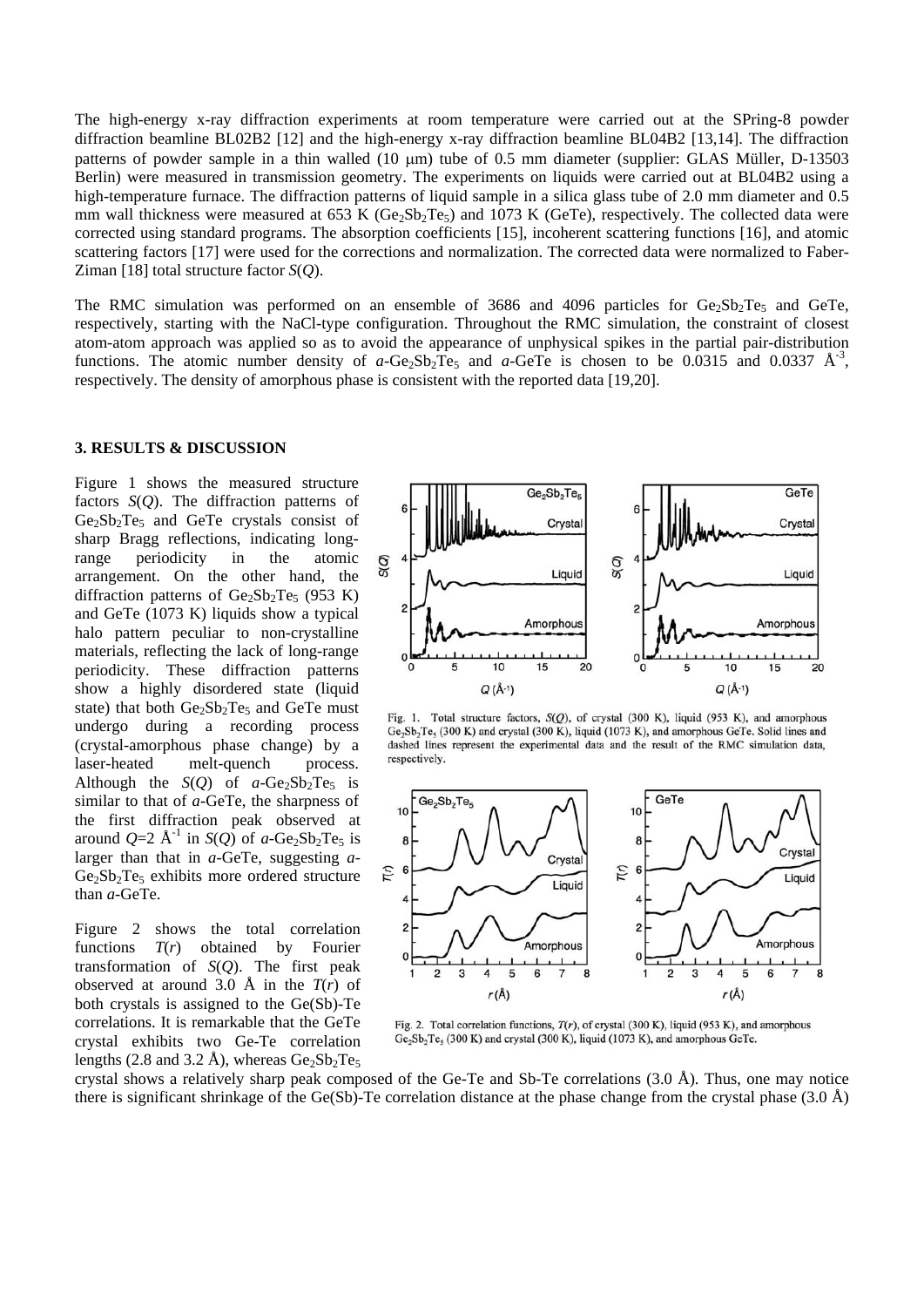The high-energy x-ray diffraction experiments at room temperature were carried out at the SPring-8 powder diffraction beamline BL02B2 [12] and the high-energy x-ray diffraction beamline BL04B2 [13,14]. The diffraction patterns of powder sample in a thin walled (10 μm) tube of 0.5 mm diameter (supplier: GLAS Müller, D-13503 Berlin) were measured in transmission geometry. The experiments on liquids were carried out at BL04B2 using a high-temperature furnace. The diffraction patterns of liquid sample in a silica glass tube of 2.0 mm diameter and 0.5 mm wall thickness were measured at 653 K (Ge<sub>2</sub>Sb<sub>2</sub>Te<sub>5</sub>) and 1073 K (Ge<sub>Te</sub>), respectively. The collected data were corrected using standard programs. The absorption coefficients [15], incoherent scattering functions [16], and atomic scattering factors [17] were used for the corrections and normalization. The corrected data were normalized to Faber-Ziman [18] total structure factor *S*(*Q*).

The RMC simulation was performed on an ensemble of 3686 and 4096 particles for  $Ge_2Sb_2Te_5$  and GeTe, respectively, starting with the NaCl-type configuration. Throughout the RMC simulation, the constraint of closest atom-atom approach was applied so as to avoid the appearance of unphysical spikes in the partial pair-distribution functions. The atomic number density of *a*-Ge<sub>2</sub>Sb<sub>2</sub>Te<sub>5</sub> and *a*-GeTe is chosen to be 0.0315 and 0.0337  $\mathring{A}^{-3}$ , respectively. The density of amorphous phase is consistent with the reported data [19,20].

#### **3. RESULTS & DISCUSSION**

Figure 1 shows the measured structure factors *S*(*Q*). The diffraction patterns of  $Ge_2Sb_2Te_5$  and GeTe crystals consist of sharp Bragg reflections, indicating longrange periodicity in the atomic arrangement. On the other hand, the diffraction patterns of  $Ge_2Sb_2Te_5$  (953 K) and GeTe (1073 K) liquids show a typical halo pattern peculiar to non-crystalline materials, reflecting the lack of long-range periodicity. These diffraction patterns show a highly disordered state (liquid state) that both  $Ge_2Sb_2Te_5$  and GeTe must undergo during a recording process (crystal-amorphous phase change) by a laser-heated melt-quench process. Although the  $S(Q)$  of  $a-Ge_2Sb_2Te_5$  is similar to that of *a*-GeTe, the sharpness of the first diffraction peak observed at around  $Q=2$  Å<sup>-1</sup> in *S*(*Q*) of *a*-Ge<sub>2</sub>Sb<sub>2</sub>Te<sub>5</sub> is larger than that in *a*-GeTe, suggesting *a*- $Ge_2Sb_2Te_5$  exhibits more ordered structure than *a*-GeTe.

Figure 2 shows the total correlation functions *T*(*r*) obtained by Fourier transformation of *S*(*Q*). The first peak observed at around 3.0 Å in the  $T(r)$  of both crystals is assigned to the Ge(Sb)-Te correlations. It is remarkable that the GeTe crystal exhibits two Ge-Te correlation lengths (2.8 and 3.2 Å), whereas  $Ge_2Sb_2Te_5$ 



Fig. 1. Total structure factors, S(Q), of crystal (300 K), liquid (953 K), and amorphous Ge<sub>2</sub>Sb<sub>2</sub>Te<sub>5</sub> (300 K) and crystal (300 K), liquid (1073 K), and amorphous GeTe. Solid lines and dashed lines represent the experimental data and the result of the RMC simulation data, respectively.



Fig. 2. Total correlation functions,  $T(r)$ , of crystal (300 K), liquid (953 K), and amorphous Ge<sub>2</sub>Sb<sub>2</sub>Te<sub>5</sub> (300 K) and crystal (300 K), liquid (1073 K), and amorphous GeTe.

crystal shows a relatively sharp peak composed of the Ge-Te and Sb-Te correlations  $(3.0 \text{ Å})$ . Thus, one may notice there is significant shrinkage of the Ge(Sb)-Te correlation distance at the phase change from the crystal phase (3.0 Å)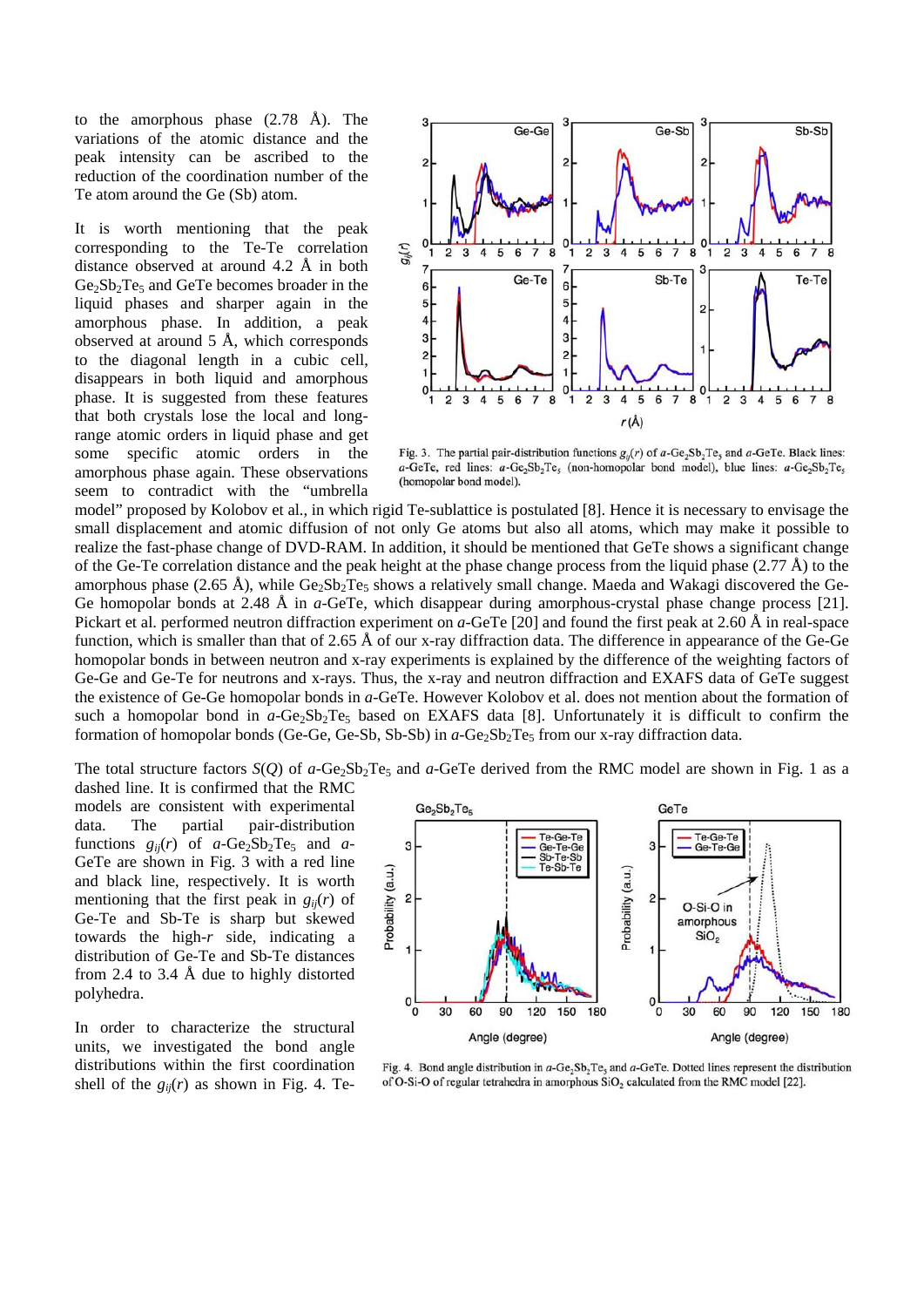to the amorphous phase (2.78 Å). The variations of the atomic distance and the peak intensity can be ascribed to the reduction of the coordination number of the Te atom around the Ge (Sb) atom.

It is worth mentioning that the peak corresponding to the Te-Te correlation distance observed at around 4.2 Å in both  $Ge_2Sb_2Te_5$  and  $GeTe$  becomes broader in the liquid phases and sharper again in the amorphous phase. In addition, a peak observed at around 5 Å, which corresponds to the diagonal length in a cubic cell, disappears in both liquid and amorphous phase. It is suggested from these features that both crystals lose the local and longrange atomic orders in liquid phase and get some specific atomic orders in the amorphous phase again. These observations seem to contradict with the "umbrella



Fig. 3. The partial pair-distribution functions  $g_{ii}(r)$  of  $a$ -Ge<sub>2</sub>Sb<sub>2</sub>Te<sub>5</sub> and  $a$ -GeTe. Black lines: a-GeTe, red lines:  $a$ -Ge<sub>2</sub>Sb<sub>2</sub>Te<sub>5</sub> (non-homopolar bond model), blue lines:  $a$ -Ge<sub>2</sub>Sb<sub>2</sub>Te<sub>5</sub> (homopolar bond model).

model" proposed by Kolobov et al., in which rigid Te-sublattice is postulated [8]. Hence it is necessary to envisage the small displacement and atomic diffusion of not only Ge atoms but also all atoms, which may make it possible to realize the fast-phase change of DVD-RAM. In addition, it should be mentioned that GeTe shows a significant change of the Ge-Te correlation distance and the peak height at the phase change process from the liquid phase  $(2.77 \text{ Å})$  to the amorphous phase (2.65 Å), while  $Ge_2Sb_2Te_5$  shows a relatively small change. Maeda and Wakagi discovered the Ge-Ge homopolar bonds at 2.48 Å in *a*-GeTe, which disappear during amorphous-crystal phase change process [21]. Pickart et al. performed neutron diffraction experiment on *a*-GeTe [20] and found the first peak at 2.60 Å in real-space function, which is smaller than that of 2.65 Å of our x-ray diffraction data. The difference in appearance of the Ge-Ge homopolar bonds in between neutron and x-ray experiments is explained by the difference of the weighting factors of Ge-Ge and Ge-Te for neutrons and x-rays. Thus, the x-ray and neutron diffraction and EXAFS data of GeTe suggest the existence of Ge-Ge homopolar bonds in *a*-GeTe. However Kolobov et al. does not mention about the formation of such a homopolar bond in *a*-Ge<sub>2</sub>Sb<sub>2</sub>Te<sub>5</sub> based on EXAFS data [8]. Unfortunately it is difficult to confirm the formation of homopolar bonds (Ge-Ge, Ge-Sb, Sb-Sb) in *a*-Ge<sub>2</sub>Sb<sub>2</sub>Te<sub>5</sub> from our x-ray diffraction data.

The total structure factors  $S(Q)$  of  $a$ -Ge<sub>2</sub>Sb<sub>2</sub>Te<sub>5</sub> and  $a$ -GeTe derived from the RMC model are shown in Fig. 1 as a dashed line. It is confirmed that the RMC

models are consistent with experimental data. The partial pair-distribution functions  $g_{ii}(r)$  of  $a$ -Ge<sub>2</sub>Sb<sub>2</sub>Te<sub>5</sub> and  $a$ -GeTe are shown in Fig. 3 with a red line and black line, respectively. It is worth mentioning that the first peak in  $g_{ii}(r)$  of Ge-Te and Sb-Te is sharp but skewed towards the high-*r* side, indicating a distribution of Ge-Te and Sb-Te distances from 2.4 to 3.4 Å due to highly distorted polyhedra.

In order to characterize the structural units, we investigated the bond angle distributions within the first coordination shell of the  $g_{ii}(r)$  as shown in Fig. 4. Te-



Fig. 4. Bond angle distribution in  $a$ -Ge<sub>2</sub>Sb<sub>2</sub>Te<sub>5</sub> and  $a$ -GeTe. Dotted lines represent the distribution of O-Si-O of regular tetrahedra in amorphous SiO<sub>2</sub> calculated from the RMC model [22].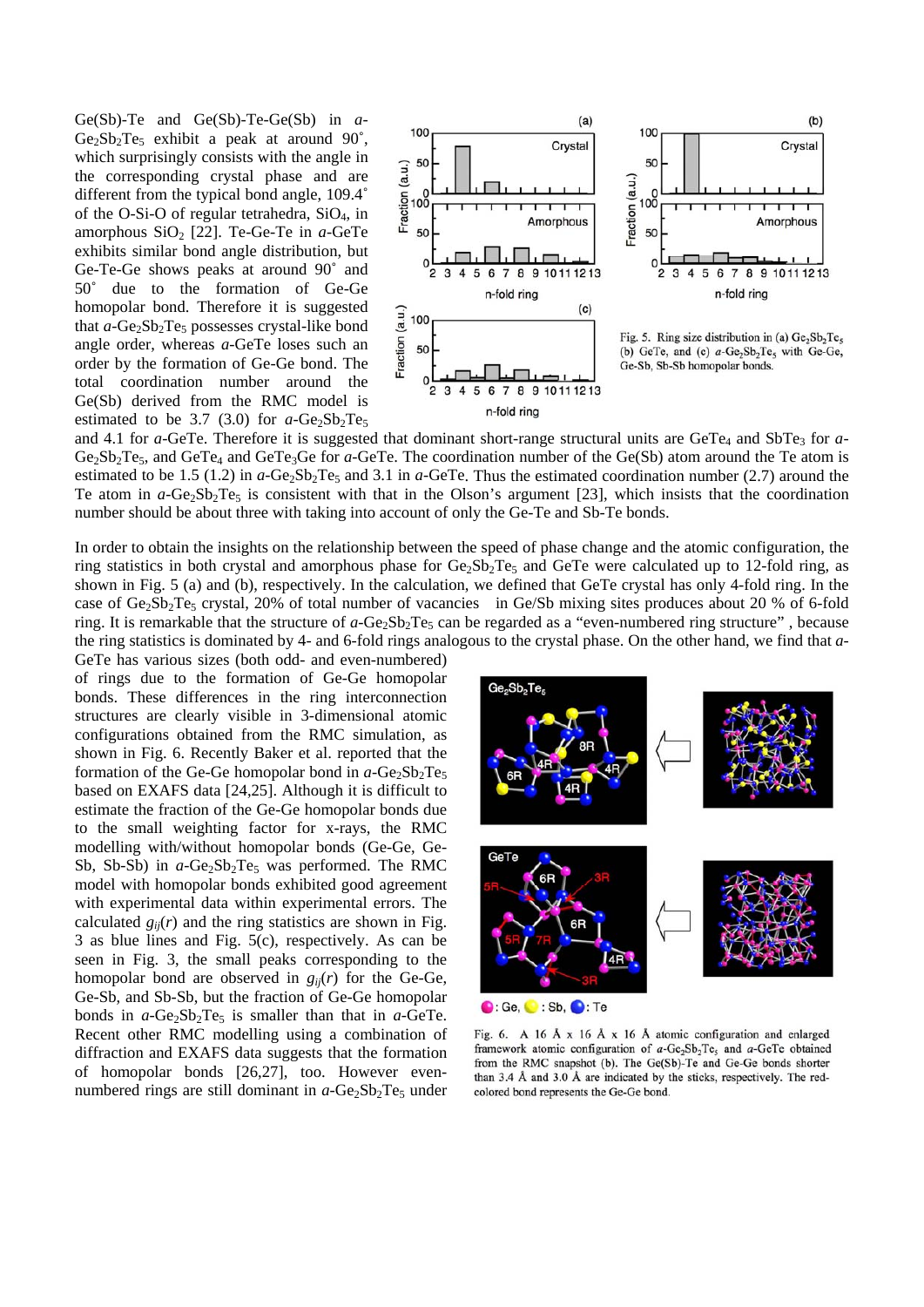Ge(Sb)-Te and Ge(Sb)-Te-Ge(Sb) in *a*- $Ge_2Sb_2Te_5$  exhibit a peak at around 90°, which surprisingly consists with the angle in the corresponding crystal phase and are different from the typical bond angle, 109.4˚ of the O-Si-O of regular tetrahedra, SiO4, in amorphous SiO<sub>2</sub> [22]. Te-Ge-Te in *a*-GeTe exhibits similar bond angle distribution, but Ge-Te-Ge shows peaks at around 90˚ and 50˚ due to the formation of Ge-Ge homopolar bond. Therefore it is suggested that *a*-Ge<sub>2</sub>Sb<sub>2</sub>Te<sub>5</sub> possesses crystal-like bond angle order, whereas *a*-GeTe loses such an order by the formation of Ge-Ge bond. The total coordination number around the Ge(Sb) derived from the RMC model is estimated to be 3.7 (3.0) for  $a$ -Ge<sub>2</sub>Sb<sub>2</sub>Te<sub>5</sub>



 $Ge_2Sb_2Te_5$ , and  $GeTe_4$  and  $GeTe_3Ge$  for *a*-GeTe. The coordination number of the  $Ge(Sb)$  atom around the Te atom is estimated to be 1.5 (1.2) in  $a$ -Ge<sub>2</sub>Sb<sub>2</sub>Te<sub>5</sub> and 3.1 in  $a$ -GeTe. Thus the estimated coordination number (2.7) around the Te atom in  $a$ -Ge<sub>2</sub>Sb<sub>2</sub>Te<sub>5</sub> is consistent with that in the Olson's argument [23], which insists that the coordination number should be about three with taking into account of only the Ge-Te and Sb-Te bonds. and 4.1 for *a*-GeTe. Therefore it is suggested that dominant short-range structural units are GeTe<sub>4</sub> and SbTe<sub>3</sub> for *a*-

In order to obtain the insights on the relationship between th e speed of phase change and the atomic configuration, the ring statistics in both crystal and amorphous phase for Ge<sub>2</sub>Sb<sub>2</sub>Te<sub>5</sub> and GeTe were calculated up to 12-fold ring, as shown in Fig. 5 (a) and (b), respectively. In the calculatio n, we defined that GeTe crystal has only 4-fold ring. In the case of Ge<sub>2</sub>Sb<sub>2</sub>Te<sub>5</sub> crystal, 20% of total number of vacancies in Ge/Sb mixing sites produces about 20 % of 6-fold ring. It is remarkable that the structure of  $a$ -Ge<sub>2</sub>Sb<sub>2</sub>Te<sub>5</sub> can be regarded as a "even-numbered ring structure", because the ring statistics is dominated by 4- and 6-fold rings anal ogous to the crystal phase. On the other hand, we find that *a*-

model with homopolar bonds exhibited good agreement with experimental data within experimental errors. The calculated  $g_{ij}(r)$  and the ring statistics are shown in Fig.  $3$  as blue lines and Fig.  $5(c)$ , respectively. As can be seen in Fig. 3, the small peaks corresponding to the homopolar bond are observed in  $g_{ij}(r)$  for the Ge-Ge, Ge-Sb, and Sb-Sb, but the fraction of Ge-Ge homopolar bonds in  $a$ -Ge<sub>2</sub>Sb<sub>2</sub>Te<sub>5</sub> is smaller than that in  $a$ -GeTe. Recent other RMC modelling using a combination of diffraction and EXAFS data suggests that the formation of homopolar bonds [26,27], too. However evennumbered rings are still dominant in a-Ge<sub>2</sub>Sb<sub>2</sub>Te<sub>5</sub> under GeTe has various sizes (both odd- and even-numbered) of rings due to the formation of Ge-Ge homopolar bonds. These differences in the ring interconnection structures are clearly visible in 3-dimensional atomic configurations obtained from the RMC simulation, as shown in Fig. 6. Recently Baker et al. reported that the formation of the Ge-Ge homopolar bond in  $a$ -Ge<sub>2</sub>Sb<sub>2</sub>Te<sub>5</sub> based on EXAFS data [24,25]. Although it is difficult to estimate the fraction of the Ge-Ge homopolar bonds due to the small weighting factor for x-rays, the RMC modelling with/without homopolar bonds (Ge-Ge, Ge-Sb, Sb-Sb) in  $a$ -Ge<sub>2</sub>Sb<sub>2</sub>Te<sub>5</sub> was performed. The RMC



Fig. 6. A 16 Å  $x$  16 Å  $x$  16 Å atomic configuration and enlarged framework atomic configuration of  $a$ -Ge<sub>2</sub>Sb<sub>2</sub>Te<sub>5</sub> and  $a$ -GeTe obtained from the RMC snapshot (b). The Ge(Sb)-Te and Ge-Ge bonds shorter than 3.4 Å and 3.0 Å are indicated by the sticks, respectively. The redcolored bond represents the Ge-Ge bond.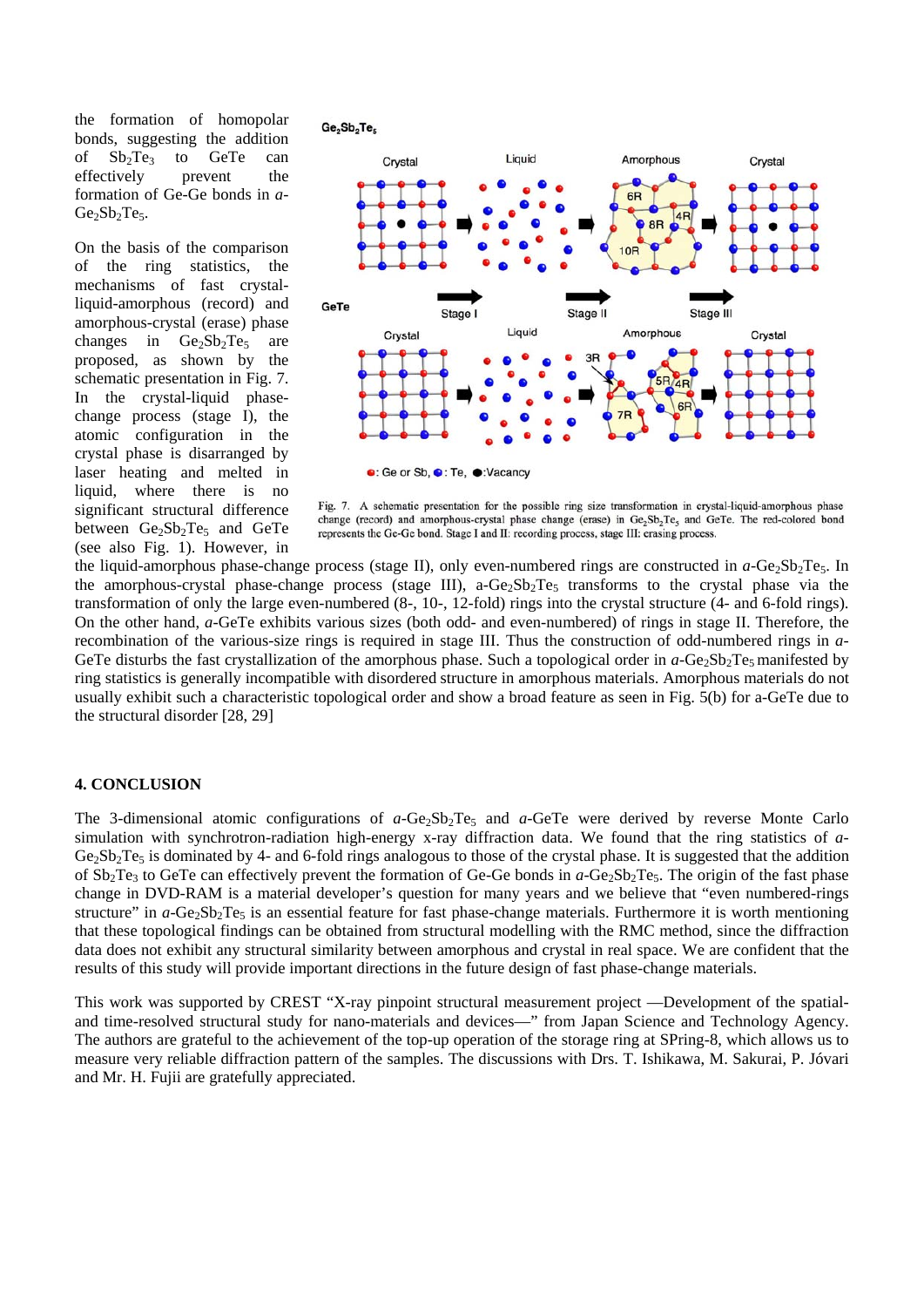the formation of homopolar bonds, suggesting the addition of  $Sb_2Te_3$  to GeTe can effectively prevent the formation of Ge-Ge bonds in *a*-Ge<sub>2</sub>Sb<sub>2</sub>Te<sub>5</sub>.

On the basis of the comparison of the ring statistics, the mechanisms of fast crystalliquid-amorphous (record) and amorphous-crystal (erase) phase changes in  $Ge_2Sb_2Te_5$  are proposed, as shown by the schematic presentation in Fig. 7. In the crystal-liquid phasechange process (stage I), the atomic configuration in the crystal phase is disarranged by laser heating and melted in liquid, where there is no significant structural difference between  $Ge_2Sb_2Te_5$  and GeTe (see also Fig. 1). However, in

 $Ge<sub>2</sub>Sb<sub>2</sub>Te<sub>5</sub>$ 



Fig. 7. A schematic presentation for the possible ring size transformation in crystal-liquid-amorphous phase change (record) and amorphous-crystal phase change (erase) in Ge<sub>2</sub>Sb<sub>2</sub>Te<sub>5</sub> and GeTe. The red-colored bond represents the Ge-Ge bond. Stage I and II: recording process, stage III: erasing process.

the amorphous-crystal phase-change process (stage III), a-Ge<sub>2</sub>Sb<sub>2</sub>Te<sub>5</sub> transforms to the crystal phase via the usually exhibit such a characteristic topological order and show a broad feature as seen in Fig. 5(b) for a-GeTe due to the structural disorder [28, 29] the liquid-amorphous phase-change process (stage II), only even-numbered rings are constructed in  $a$ -Ge<sub>2</sub>Sb<sub>2</sub>Te<sub>5</sub>. In transformation of only the large even-numbered (8-, 10-, 12-fold) rings into the crystal structure (4- and 6-fold rings). On the other hand, *a*-GeTe exhibits various sizes (both odd- and even-numbered) of rings in stage II. Therefore, the recombination of the various-size rings is required in stage III. Thus the construction of odd-numbered rings in *a*-GeTe disturbs the fast crystallization of the amorphous phase. Such a topological order in  $a$ -Ge<sub>2</sub>Sb<sub>2</sub>Te<sub>5</sub> manifested by ring statistics is generally incompatible with disordered structure in amorphous materials. Amorphous materials do not

## **4. CONCLUSION**

The 3-dimensional atomic configurations of  $a$ -Ge<sub>2</sub>Sb<sub>2</sub>Te<sub>5</sub> and  $a$ -GeTe were derived by reverse Monte Carlo of  $Sb_2Te_3$  to GeTe can effectively prevent the formation of Ge-Ge bonds in  $a$ -Ge<sub>2</sub>Sb<sub>2</sub>Te<sub>5</sub>. The origin of the fast phase structure" in *a*-Ge<sub>2</sub>Sb<sub>2</sub>Te<sub>5</sub> is an essential feature for fast phase-change materials. Furthermore it is worth mentioning that these topological findings can be obtained from structural modelling with the RMC method, since the diffraction results of this study will provide important directions in the future design of fast phase-change materials. simulation with synchrotron-radiation high-energy x-ray diffraction data. We found that the ring statistics of *a*- $Ge_2Sb_2Te_5$  is dominated by 4- and 6-fold rings analogous to those of the crystal phase. It is suggested that the addition change in DVD-RAM is a material developer's question for many years and we believe that "even numbered-rings data does not exhibit any structural similarity between amorphous and crystal in real space. We are confident that the

and time-resolved structural study for nano-materials and devices—" from Japan Science and Technology Agency. The authors are grateful to the achievement of the top-up operation of the storage ring at SPring-8, which allows us to This work was supported by CREST "X-ray pinpoint structural measurement project —Development of the spatialmeasure very reliable diffraction pattern of the samples. The discussions with Drs. T. Ishikawa, M. Sakurai, P. Jóvari and Mr. H. Fujii are gratefully appreciated.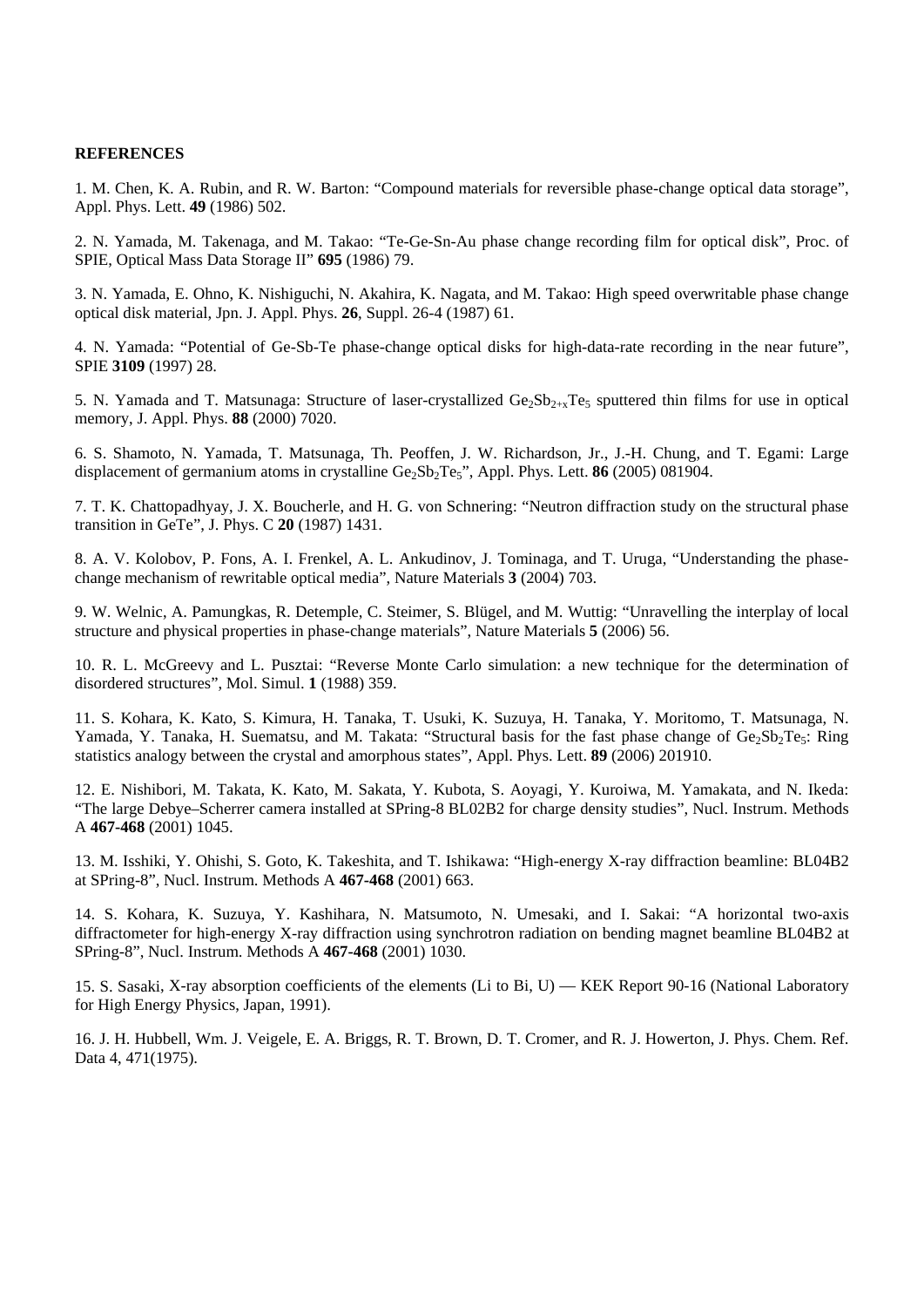#### **REFERENCES**

1. M. Chen, K. A. Rubin, and R. W. Barton: "Compound materials for reversible phase-change optical data storage", Appl. Phys. Lett. **49** (1986) 502.

2. N. Yamada, M. Takenaga, and M. Takao: "Te-Ge-Sn-Au phase change recording film for optical disk", Proc. of SPIE, Optical Mass Data Storage II" **695** (1986) 79.

3. N. Yamada, E. Ohno, K. Nishiguchi, N. Akahira, K. Nagata, and M. Takao: High speed overwritable phase change optical disk material, Jpn. J. Appl. Phys. **26**, Suppl. 26-4 (1987) 61.

4. N. Yamada: "Potential of Ge-Sb-Te phase-change optical disks for high-data-rate recording in the near future", SPIE **3109** (1997) 28.

5. N. Yamada and T. Matsunaga: Structure of laser-crystallized  $Ge_2Sb_{2+x}Te_5$  sputtered thin films for use in optical memory, J. Appl. Phys. **88** (2000) 7020.

6. S. Shamoto, N. Yamada, T. Matsunaga, Th. Peoffen, J. W. Richardson, Jr., J.-H. Chung, and T. Egami: Large displacement of germanium atoms in crystalline Ge<sub>2</sub>Sb<sub>2</sub>Te<sub>5</sub>", Appl. Phys. Lett. **86** (2005) 081904.

7. T. K. Chattopadhyay, J. X. Boucherle, and H. G. von Schnering: "Neutron diffraction study on the structural phase transition in GeTe", J. Phys. C **20** (1987) 1431.

change mechanism of rewritable optical media", Nature Materials 3 (2004) 703. 8. A. V. Kolobov, P. Fons, A. I. Frenkel, A. L. Ankudinov, J. Tominaga, and T. Uruga, "Understanding the phase-

structure and physical properties in phase-change materials", Nature Materials 5 (2006) 56. 9. W. Welnic, A. Pamungkas, R. Detemple, C. Steimer, S. Blügel, and M. Wuttig: "Unravelling the interplay of local

disordered structures", Mol. Simul. 1 (1988) 359. 10. R. L. McGreevy and L. Pusztai: "Reverse Monte Carlo simulation: a new technique for the determination of

Yamada, Y. Tanaka, H. Suematsu, and M. Takata: "Structural basis for the fast phase change of Ge<sub>2</sub>Sb<sub>2</sub>Te<sub>5</sub>: Ring 11. S. Kohara, K. Kato, S. Kimura, H. Tanaka, T. Usuki, K. Suzuya, H. Tanaka, Y. Moritomo, T. Matsunaga, N. statistics analogy between the crystal and amorphous states", Appl. Phys. Lett. **89** (2006) 201910.

12. E. Nishibori, M. Takata, K. Kato, M. Sakata, Y. Kubota, S. Aoyagi, Y. Kuroiwa, M. Yamakata, and N. Ikeda: "The large Debye–Scherrer camera installed at SPring-8 BL02B2 for charge density studies", Nucl. Instrum. Methods A **467-468** (2001) 1045.

at SPring-8", Nucl. Instrum. Methods A 467-468 (2001) 663. 13. M. Isshiki, Y. Ohishi, S. Goto, K. Takeshita, and T. Ishikawa: "High-energy X-ray diffraction beamline: BL04B2

diffractometer for high-energy X-ray diffraction using synchrotron radiation on bending magnet beamline BL04B2 at SPring-8", Nucl. Instrum. Methods A **467-468** (2001) 1030. 14. S. Kohara, K. Suzuya, Y. Kashihara, N. Matsumoto, N. Umesaki, and I. Sakai: "A horizontal two-axis

15. S. Sasaki, X-ray absorption coefficients of the elements (Li to Bi, U) — KEK Report 90-16 (National Laboratory for High Energy Physics, Japan, 1991).

16. J. H. Hubbell, Wm. J. Veigele, E. A. Briggs, R. T. Brown, D. T. Cromer, and R. J. Howerton, J. Phys. Chem. Ref. Data 4, 471(1975).